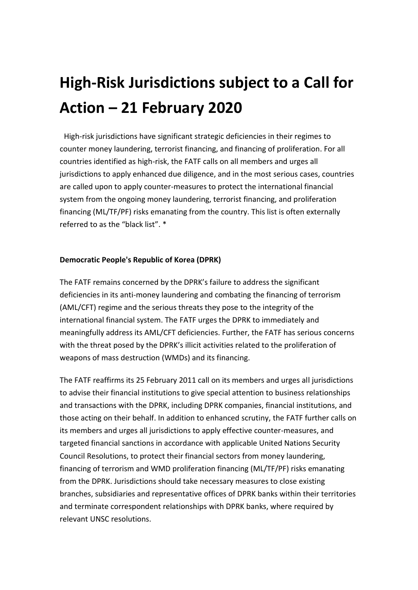## **High-Risk Jurisdictions subject to a Call for Action – 21 February 2020**

High-risk jurisdictions have significant strategic deficiencies in their regimes to counter money laundering, terrorist financing, and financing of proliferation. For all countries identified as high-risk, the FATF calls on all members and urges all jurisdictions to apply enhanced due diligence, and in the most serious cases, countries are called upon to apply counter-measures to protect the international financial system from the ongoing money laundering, terrorist financing, and proliferation financing (ML/TF/PF) risks emanating from the country. This list is often externally referred to as the "black list". \*

## **Democratic People's Republic of Korea (DPRK)**

The FATF remains concerned by the DPRK's failure to address the significant deficiencies in its anti-money laundering and combating the financing of terrorism (AML/CFT) regime and the serious threats they pose to the integrity of the international financial system. The FATF urges the DPRK to immediately and meaningfully address its AML/CFT deficiencies. Further, the FATF has serious concerns with the threat posed by the DPRK's illicit activities related to the proliferation of weapons of mass destruction (WMDs) and its financing.

The FATF reaffirms its 25 February 2011 call on its members and urges all jurisdictions to advise their financial institutions to give special attention to business relationships and transactions with the DPRK, including DPRK companies, financial institutions, and those acting on their behalf. In addition to enhanced scrutiny, the FATF further calls on its members and urges all jurisdictions to apply effective counter-measures, and targeted financial sanctions in accordance with applicable United Nations Security Council Resolutions, to protect their financial sectors from money laundering, financing of terrorism and WMD proliferation financing (ML/TF/PF) risks emanating from the DPRK. Jurisdictions should take necessary measures to close existing branches, subsidiaries and representative offices of DPRK banks within their territories and terminate correspondent relationships with DPRK banks, where required by relevant UNSC resolutions.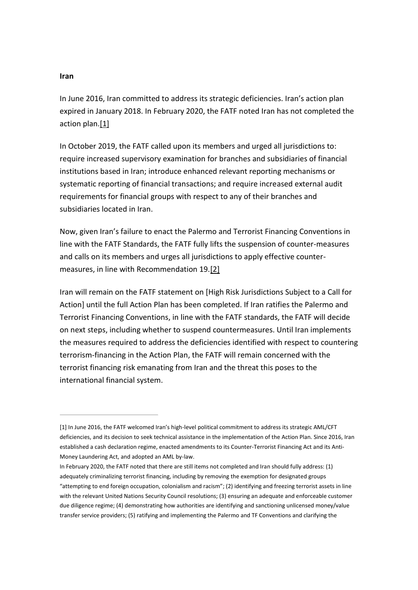## **Iran**

In June 2016, Iran committed to address its strategic deficiencies. Iran's action plan expired in January 2018. In February 2020, the FATF noted Iran has not completed the action plan[.\[1\]](http://www.fatf-gafi.org/publications/high-risk-and-other-monitored-jurisdictions/documents/call-for-action-february-2020.html#fn1)

In October 2019, the FATF called upon its members and urged all jurisdictions to: require increased supervisory examination for branches and subsidiaries of financial institutions based in Iran; introduce enhanced relevant reporting mechanisms or systematic reporting of financial transactions; and require increased external audit requirements for financial groups with respect to any of their branches and subsidiaries located in Iran.

Now, given Iran's failure to enact the Palermo and Terrorist Financing Conventions in line with the FATF Standards, the FATF fully lifts the suspension of counter-measures and calls on its members and urges all jurisdictions to apply effective countermeasures, in line with Recommendation 19[.\[2\]](http://www.fatf-gafi.org/publications/high-risk-and-other-monitored-jurisdictions/documents/call-for-action-february-2020.html#fn2)

Iran will remain on the FATF statement on [High Risk Jurisdictions Subject to a Call for Action] until the full Action Plan has been completed. If Iran ratifies the Palermo and Terrorist Financing Conventions, in line with the FATF standards, the FATF will decide on next steps, including whether to suspend countermeasures. Until Iran implements the measures required to address the deficiencies identified with respect to countering terrorism-financing in the Action Plan, the FATF will remain concerned with the terrorist financing risk emanating from Iran and the threat this poses to the international financial system.

<sup>[1]</sup> In June 2016, the FATF welcomed Iran's high-level political commitment to address its strategic AML/CFT deficiencies, and its decision to seek technical assistance in the implementation of the Action Plan. Since 2016, Iran established a cash declaration regime, enacted amendments to its Counter-Terrorist Financing Act and its Anti-Money Laundering Act, and adopted an AML by-law.

In February 2020, the FATF noted that there are still items not completed and Iran should fully address: (1) adequately criminalizing terrorist financing, including by removing the exemption for designated groups "attempting to end foreign occupation, colonialism and racism"; (2) identifying and freezing terrorist assets in line with the relevant United Nations Security Council resolutions; (3) ensuring an adequate and enforceable customer due diligence regime; (4) demonstrating how authorities are identifying and sanctioning unlicensed money/value transfer service providers; (5) ratifying and implementing the Palermo and TF Conventions and clarifying the